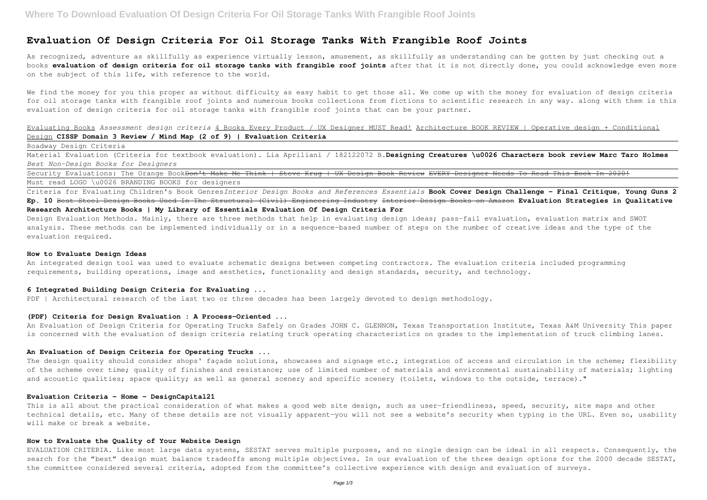# **Evaluation Of Design Criteria For Oil Storage Tanks With Frangible Roof Joints**

As recognized, adventure as skillfully as experience virtually lesson, amusement, as skillfully as understanding can be gotten by just checking out a books **evaluation of design criteria for oil storage tanks with frangible roof joints** after that it is not directly done, you could acknowledge even more on the subject of this life, with reference to the world.

We find the money for you this proper as without difficulty as easy habit to get those all. We come up with the money for evaluation of design criteria for oil storage tanks with frangible roof joints and numerous books collections from fictions to scientific research in any way. along with them is this evaluation of design criteria for oil storage tanks with frangible roof joints that can be your partner.

Security Evaluations: The Orange Book<del>Don't Make Me Think | Steve Krug | UX Design Book Review EVERY Designer Needs To Read This Book In 2020!</del> Must read LOGO \u0026 BRANDING BOOKS for designers

Evaluating Books *Assessment design criteria* 4 Books Every Product / UX Designer MUST Read! Architecture BOOK REVIEW | Operative design + Conditional Design **CISSP Domain 3 Review / Mind Map (2 of 9) | Evaluation Criteria**

Roadway Design Criteria

Material Evaluation (Criteria for textbook evaluation). Lia Apriliani / 182122072 B.**Designing Creatures \u0026 Characters book review Marc Taro Holmes** *Best Non-Design Books for Designers*

An Evaluation of Design Criteria for Operating Trucks Safely on Grades JOHN C. GLENNON, Texas Transportation Institute, Texas A&M University This paper is concerned with the evaluation of design criteria relating truck operating characteristics on grades to the implementation of truck climbing lanes.

Criteria for Evaluating Children's Book Genres*Interior Design Books and References Essentials* **Book Cover Design Challenge – Final Critique, Young Guns 2 Ep. 10** Best Steel Design Books Used In The Structural (Civil) Engineering Industry Interior Design Books on Amazon **Evaluation Strategies in Qualitative Research Architecture Books | My Library of Essentials Evaluation Of Design Criteria For**

This is all about the practical consideration of what makes a good web site design, such as user-friendliness, speed, security, site maps and other technical details, etc. Many of these details are not visually apparent—you will not see a website's security when typing in the URL. Even so, usability will make or break a website.

Design Evaluation Methods. Mainly, there are three methods that help in evaluating design ideas; pass-fail evaluation, evaluation matrix and SWOT analysis. These methods can be implemented individually or in a sequence-based number of steps on the number of creative ideas and the type of the evaluation required.

#### **How to Evaluate Design Ideas**

An integrated design tool was used to evaluate schematic designs between competing contractors. The evaluation criteria included programming requirements, building operations, image and aesthetics, functionality and design standards, security, and technology.

## **6 Integrated Building Design Criteria for Evaluating ...**

PDF | Architectural research of the last two or three decades has been largely devoted to design methodology.

## **(PDF) Criteria for Design Evaluation : A Process-Oriented ...**

#### **An Evaluation of Design Criteria for Operating Trucks ...**

The design quality should consider shops' facade solutions, showcases and signage etc.; integration of access and circulation in the scheme; flexibility of the scheme over time; quality of finishes and resistance; use of limited number of materials and environmental sustainability of materials; lighting and acoustic qualities; space quality; as well as general scenery and specific scenery (toilets, windows to the outside, terrace)."

### **Evaluation Criteria - Home - DesignCapital21**

## **How to Evaluate the Quality of Your Website Design**

EVALUATION CRITERIA. Like most large data systems, SESTAT serves multiple purposes, and no single design can be ideal in all respects. Consequently, the search for the "best" design must balance tradeoffs among multiple objectives. In our evaluation of the three design options for the 2000 decade SESTAT, the committee considered several criteria, adopted from the committee's collective experience with design and evaluation of surveys.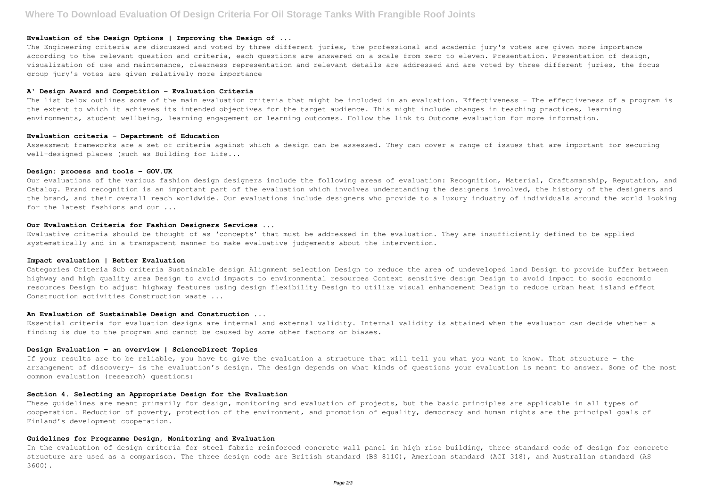#### **Evaluation of the Design Options | Improving the Design of ...**

The Engineering criteria are discussed and voted by three different juries, the professional and academic jury's votes are given more importance according to the relevant question and criteria, each questions are answered on a scale from zero to eleven. Presentation. Presentation of design, visualization of use and maintenance, clearness representation and relevant details are addressed and are voted by three different juries, the focus group jury's votes are given relatively more importance

The list below outlines some of the main evaluation criteria that might be included in an evaluation. Effectiveness - The effectiveness of a program is the extent to which it achieves its intended objectives for the target audience. This might include changes in teaching practices, learning environments, student wellbeing, learning engagement or learning outcomes. Follow the link to Outcome evaluation for more information.

#### **A' Design Award and Competition - Evaluation Criteria**

Our evaluations of the various fashion design designers include the following areas of evaluation: Recognition, Material, Craftsmanship, Reputation, and Catalog. Brand recognition is an important part of the evaluation which involves understanding the designers involved, the history of the designers and the brand, and their overall reach worldwide. Our evaluations include designers who provide to a luxury industry of individuals around the world looking for the latest fashions and our ...

#### **Evaluation criteria - Department of Education**

Assessment frameworks are a set of criteria against which a design can be assessed. They can cover a range of issues that are important for securing well-designed places (such as Building for Life...

### **Design: process and tools - GOV.UK**

These quidelines are meant primarily for design, monitoring and evaluation of projects, but the basic principles are applicable in all types of cooperation. Reduction of poverty, protection of the environment, and promotion of equality, democracy and human rights are the principal goals of Finland's development cooperation.

## **Our Evaluation Criteria for Fashion Designers Services ...**

Evaluative criteria should be thought of as 'concepts' that must be addressed in the evaluation. They are insufficiently defined to be applied systematically and in a transparent manner to make evaluative judgements about the intervention.

#### **Impact evaluation | Better Evaluation**

Categories Criteria Sub criteria Sustainable design Alignment selection Design to reduce the area of undeveloped land Design to provide buffer between highway and high quality area Design to avoid impacts to environmental resources Context sensitive design Design to avoid impact to socio economic resources Design to adjust highway features using design flexibility Design to utilize visual enhancement Design to reduce urban heat island effect Construction activities Construction waste ...

#### **An Evaluation of Sustainable Design and Construction ...**

Essential criteria for evaluation designs are internal and external validity. Internal validity is attained when the evaluator can decide whether a finding is due to the program and cannot be caused by some other factors or biases.

### **Design Evaluation - an overview | ScienceDirect Topics**

If your results are to be reliable, you have to give the evaluation a structure that will tell you what you want to know. That structure – the arrangement of discovery- is the evaluation's design. The design depends on what kinds of questions your evaluation is meant to answer. Some of the most common evaluation (research) questions:

### **Section 4. Selecting an Appropriate Design for the Evaluation**

## **Guidelines for Programme Design, Monitoring and Evaluation**

In the evaluation of design criteria for steel fabric reinforced concrete wall panel in high rise building, three standard code of design for concrete structure are used as a comparison. The three design code are British standard (BS 8110), American standard (ACI 318), and Australian standard (AS 3600).